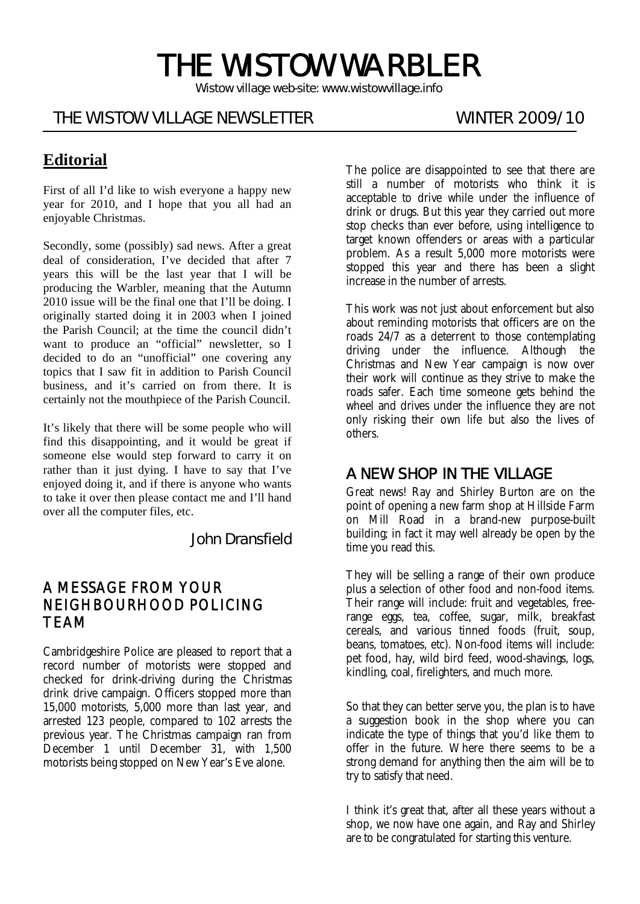# THE WISTOW WARBLER

*Wistow village web-site: www.wistowvillage.info* 

ī

# THE WISTOW VILLAGE NEWSLETTER WINTER 2009/10

# **Editorial**

First of all I'd like to wish everyone a happy new year for 2010, and I hope that you all had an enjoyable Christmas.

Secondly, some (possibly) sad news. After a great deal of consideration, I've decided that after 7 years this will be the last year that I will be producing the Warbler, meaning that the Autumn 2010 issue will be the final one that I'll be doing. I originally started doing it in 2003 when I joined the Parish Council; at the time the council didn't want to produce an "official" newsletter, so I decided to do an "unofficial" one covering any topics that I saw fit in addition to Parish Council business, and it's carried on from there. It is certainly not the mouthpiece of the Parish Council.

It's likely that there will be some people who will find this disappointing, and it would be great if someone else would step forward to carry it on rather than it just dying. I have to say that I've enjoyed doing it, and if there is anyone who wants to take it over then please contact me and I'll hand over all the computer files, etc.

John Dransfield

#### A MESSAGE FROM YOUR NEIGHBOURHOOD POLICING TEAM

Cambridgeshire Police are pleased to report that a record number of motorists were stopped and checked for drink-driving during the Christmas drink drive campaign. Officers stopped more than 15,000 motorists, 5,000 more than last year, and arrested 123 people, compared to 102 arrests the previous year. The Christmas campaign ran from December 1 until December 31, with 1,500 motorists being stopped on New Year's Eve alone.

The police are disappointed to see that there are still a number of motorists who think it is acceptable to drive while under the influence of drink or drugs. But this year they carried out more stop checks than ever before, using intelligence to target known offenders or areas with a particular problem. As a result 5,000 more motorists were stopped this year and there has been a slight increase in the number of arrests.

This work was not just about enforcement but also about reminding motorists that officers are on the roads 24/7 as a deterrent to those contemplating driving under the influence. Although the Christmas and New Year campaign is now over their work will continue as they strive to make the roads safer. Each time someone gets behind the wheel and drives under the influence they are not only risking their own life but also the lives of others.

### A NEW SHOP IN THE VILLAGE

Great news! Ray and Shirley Burton are on the point of opening a new farm shop at Hillside Farm on Mill Road in a brand-new purpose-built building; in fact it may well already be open by the time you read this.

They will be selling a range of their own produce plus a selection of other food and non-food items. Their range will include: fruit and vegetables, freerange eggs, tea, coffee, sugar, milk, breakfast cereals, and various tinned foods (fruit, soup, beans, tomatoes, etc). Non-food items will include: pet food, hay, wild bird feed, wood-shavings, logs, kindling, coal, firelighters, and much more.

So that they can better serve you, the plan is to have a suggestion book in the shop where you can indicate the type of things that you'd like them to offer in the future. Where there seems to be a strong demand for anything then the aim will be to try to satisfy that need.

I think it's great that, after all these years without a shop, we now have one again, and Ray and Shirley are to be congratulated for starting this venture.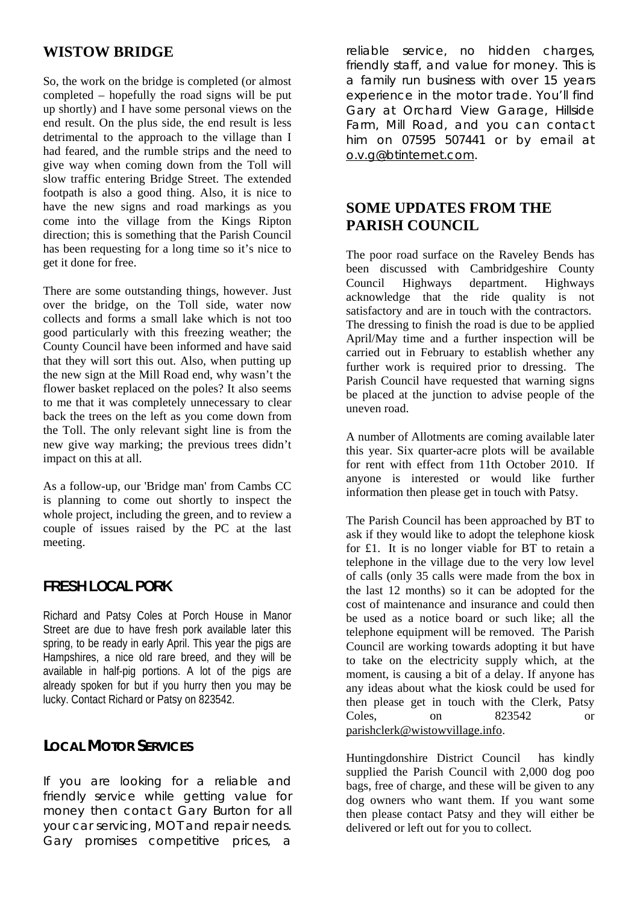#### **WISTOW BRIDGE**

So, the work on the bridge is completed (or almost completed – hopefully the road signs will be put up shortly) and I have some personal views on the end result. On the plus side, the end result is less detrimental to the approach to the village than I had feared, and the rumble strips and the need to give way when coming down from the Toll will slow traffic entering Bridge Street. The extended footpath is also a good thing. Also, it is nice to have the new signs and road markings as you come into the village from the Kings Ripton direction; this is something that the Parish Council has been requesting for a long time so it's nice to get it done for free.

There are some outstanding things, however. Just over the bridge, on the Toll side, water now collects and forms a small lake which is not too good particularly with this freezing weather; the County Council have been informed and have said that they will sort this out. Also, when putting up the new sign at the Mill Road end, why wasn't the flower basket replaced on the poles? It also seems to me that it was completely unnecessary to clear back the trees on the left as you come down from the Toll. The only relevant sight line is from the new give way marking; the previous trees didn't impact on this at all.

As a follow-up, our 'Bridge man' from Cambs CC is planning to come out shortly to inspect the whole project, including the green, and to review a couple of issues raised by the PC at the last meeting.

#### **FRESH LOCAL PORK**

Richard and Patsy Coles at Porch House in Manor Street are due to have fresh pork available later this spring, to be ready in early April. This year the pigs are Hampshires, a nice old rare breed, and they will be available in half-pig portions. A lot of the pigs are already spoken for but if you hurry then you may be lucky. Contact Richard or Patsy on 823542.

#### **LOCAL MOTOR SERVICES**

If you are looking for a reliable and friendly service while getting value for money then contact Gary Burton for all your car servicing, MOT and repair needs. Gary promises competitive prices, a reliable service, no hidden charges, friendly staff, and value for money. This is a family run business with over 15 years experience in the motor trade. You'll find Gary at Orchard View Garage, Hillside Farm, Mill Road, and you can contact him on 07595 507441 or by email at o.v.g@btinternet.com.

#### **SOME UPDATES FROM THE PARISH COUNCIL**

The poor road surface on the Raveley Bends has been discussed with Cambridgeshire County Council Highways department. Highways acknowledge that the ride quality is not satisfactory and are in touch with the contractors. The dressing to finish the road is due to be applied April/May time and a further inspection will be carried out in February to establish whether any further work is required prior to dressing. The Parish Council have requested that warning signs be placed at the junction to advise people of the uneven road.

A number of Allotments are coming available later this year. Six quarter-acre plots will be available for rent with effect from 11th October 2010. If anyone is interested or would like further information then please get in touch with Patsy.

The Parish Council has been approached by BT to ask if they would like to adopt the telephone kiosk for £1. It is no longer viable for BT to retain a telephone in the village due to the very low level of calls (only 35 calls were made from the box in the last 12 months) so it can be adopted for the cost of maintenance and insurance and could then be used as a notice board or such like; all the telephone equipment will be removed. The Parish Council are working towards adopting it but have to take on the electricity supply which, at the moment, is causing a bit of a delay. If anyone has any ideas about what the kiosk could be used for then please get in touch with the Clerk, Patsy Coles, on 823542 or parishclerk@wistowvillage.info.

Huntingdonshire District Council has kindly supplied the Parish Council with 2,000 dog poo bags, free of charge, and these will be given to any dog owners who want them. If you want some then please contact Patsy and they will either be delivered or left out for you to collect.